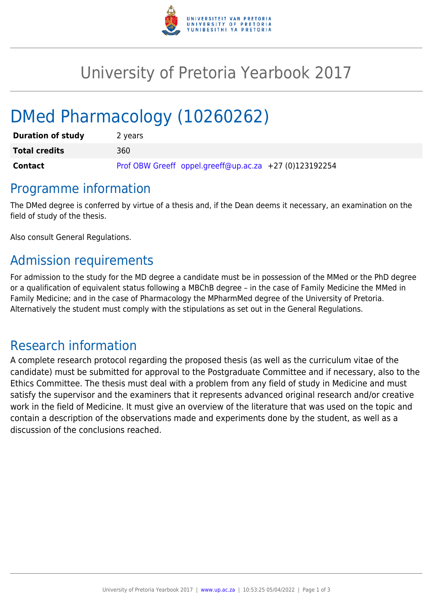

## University of Pretoria Yearbook 2017

# DMed Pharmacology (10260262)

| <b>Duration of study</b> | 2 years                                                |
|--------------------------|--------------------------------------------------------|
| <b>Total credits</b>     | 360                                                    |
| <b>Contact</b>           | Prof OBW Greeff oppel.greeff@up.ac.za +27 (0)123192254 |

### Programme information

The DMed degree is conferred by virtue of a thesis and, if the Dean deems it necessary, an examination on the field of study of the thesis.

Also consult General Regulations.

## Admission requirements

For admission to the study for the MD degree a candidate must be in possession of the MMed or the PhD degree or a qualification of equivalent status following a MBChB degree – in the case of Family Medicine the MMed in Family Medicine; and in the case of Pharmacology the MPharmMed degree of the University of Pretoria. Alternatively the student must comply with the stipulations as set out in the General Regulations.

## Research information

A complete research protocol regarding the proposed thesis (as well as the curriculum vitae of the candidate) must be submitted for approval to the Postgraduate Committee and if necessary, also to the Ethics Committee. The thesis must deal with a problem from any field of study in Medicine and must satisfy the supervisor and the examiners that it represents advanced original research and/or creative work in the field of Medicine. It must give an overview of the literature that was used on the topic and contain a description of the observations made and experiments done by the student, as well as a discussion of the conclusions reached.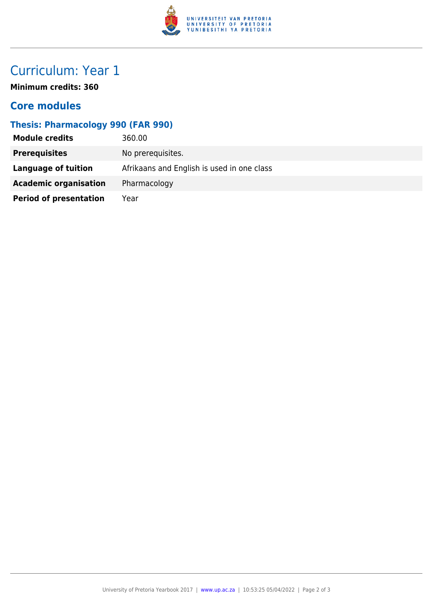

## Curriculum: Year 1

**Minimum credits: 360**

### **Core modules**

#### **Thesis: Pharmacology 990 (FAR 990)**

| <b>Module credits</b>         | 360.00                                     |
|-------------------------------|--------------------------------------------|
| <b>Prerequisites</b>          | No prerequisites.                          |
| Language of tuition           | Afrikaans and English is used in one class |
| <b>Academic organisation</b>  | Pharmacology                               |
| <b>Period of presentation</b> | Year                                       |